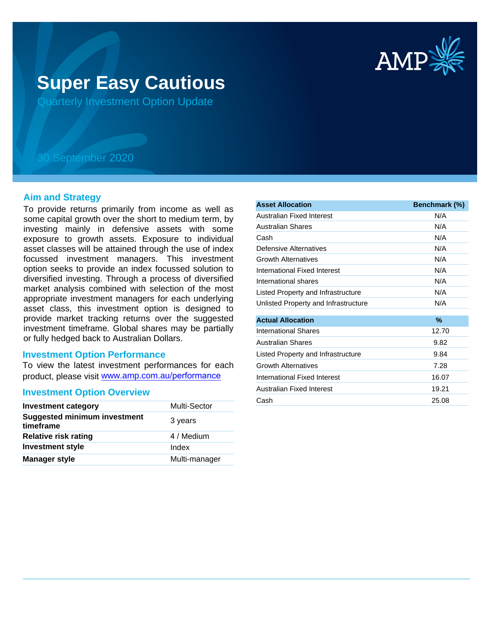

# **Super Easy Cautious**

Quarterly Investment Option Update

## 30 September 2020

### **Aim and Strategy**

To provide returns primarily from income as well as some capital growth over the short to medium term, by investing mainly in defensive assets with some exposure to growth assets. Exposure to individual asset classes will be attained through the use of index focussed investment managers. This investment option seeks to provide an index focussed solution to diversified investing. Through a process of diversified market analysis combined with selection of the most appropriate investment managers for each underlying asset class, this investment option is designed to provide market tracking returns over the suggested investment timeframe. Global shares may be partially or fully hedged back to Australian Dollars.

### **Investment Option Performance**

To view the latest investment performances for each product, please visit www.amp.com.au/performance

#### **Investment Option Overview**

| <b>Investment category</b>                       | Multi-Sector  |
|--------------------------------------------------|---------------|
| <b>Suggested minimum investment</b><br>timeframe | 3 years       |
| <b>Relative risk rating</b>                      | 4 / Medium    |
| <b>Investment style</b>                          | Index         |
| <b>Manager style</b>                             | Multi-manager |

| <b>Asset Allocation</b>              | Benchmark (%) |
|--------------------------------------|---------------|
| Australian Fixed Interest            | N/A           |
| Australian Shares                    | N/A           |
| Cash                                 | N/A           |
| Defensive Alternatives               | N/A           |
| <b>Growth Alternatives</b>           | N/A           |
| International Fixed Interest         | N/A           |
| International shares                 | N/A           |
| Listed Property and Infrastructure   | N/A           |
| Unlisted Property and Infrastructure | N/A           |
| <b>Actual Allocation</b>             | $\%$          |
| <b>International Shares</b>          | 12.70         |
| <b>Australian Shares</b>             | 9.82          |
| Listed Property and Infrastructure   | 9.84          |
| <b>Growth Alternatives</b>           | 7.28          |
| International Fixed Interest         | 16.07         |
| Australian Fixed Interest            | 19.21         |
| Cash                                 | 25.08         |